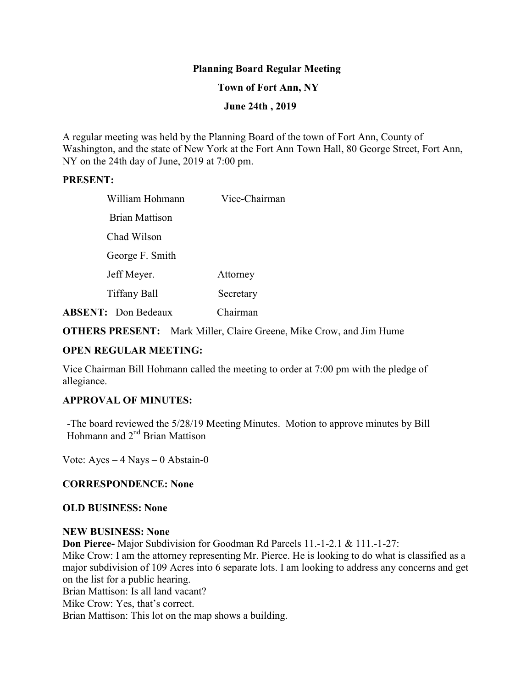# **Planning Board Regular Meeting**

### **Town of Fort Ann, NY**

### **June 24th , 2019**

A regular meeting was held by the Planning Board of the town of Fort Ann, County of Washington, and the state of New York at the Fort Ann Town Hall, 80 George Street, Fort Ann, NY on the 24th day of June, 2019 at 7:00 pm.

#### **PRESENT:**

| William Hohmann            | Vice-Chairman |
|----------------------------|---------------|
| <b>Brian Mattison</b>      |               |
| Chad Wilson                |               |
| George F. Smith            |               |
| Jeff Meyer.                | Attorney      |
| Tiffany Ball               | Secretary     |
| <b>ABSENT:</b> Don Bedeaux | Chairman      |

**OTHERS PRESENT:** Mark Miller, Claire Greene, Mike Crow, and Jim Hume

# **OPEN REGULAR MEETING:**

Vice Chairman Bill Hohmann called the meeting to order at 7:00 pm with the pledge of allegiance.

# **APPROVAL OF MINUTES:**

-The board reviewed the 5/28/19 Meeting Minutes. Motion to approve minutes by Bill Hohmann and 2<sup>nd</sup> Brian Mattison

Vote: Ayes – 4 Nays – 0 Abstain-0

# **CORRESPONDENCE: None**

#### **OLD BUSINESS: None**

#### **NEW BUSINESS: None**

**Don Pierce-** Major Subdivision for Goodman Rd Parcels 11.-1-2.1 & 111.-1-27: Mike Crow: I am the attorney representing Mr. Pierce. He is looking to do what is classified as a major subdivision of 109 Acres into 6 separate lots. I am looking to address any concerns and get on the list for a public hearing. Brian Mattison: Is all land vacant?

Mike Crow: Yes, that's correct.

Brian Mattison: This lot on the map shows a building.